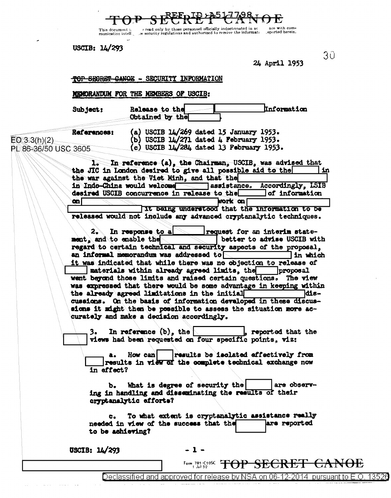24 April 1953

Information

nuo mith nom-

ЗŨ

eported herein.

TOP SECRET CANOE - SECURITY INFORMATION

MICHORANDUM FOR THE MEMBERS OF USCIB:

This document is<br>munication intell.

Sub ject:

USCIB:  $1L/293$ 

Release to the Obtained by the

References:  $EO 3.3(h)(2)$ 

(a) USCIB  $14/269$  dated 15 January 1953. (b) USCIB  $14/271$  dated 4 February 1953. (c) USCIB 14/284 dated 13 February 1953.

read only by those personnel officially indoctrinated in ac-<br>e security regulations and authorized to receive the informati.

PL 86-36/50 USC 3605

In reference (a), the Chairman, USCIB, was advised that 1. the JIC in London desired to give all possible aid to the in the war against the Viet Minh, and that the Accordingly, LSIB in Indo-China would welcome  $\Box$ assistance. desired USCIB concurrence in release to the of information Ϙ bork oa! at being understood that the information to be

released would not include any advanced cryptenalytic techniques.

 $2.$ In response to a request for an interim statebetter to advise USCIB with ment, and to enable the regard to certain technical and security aspects of the proposal. an informal memorandum was addressed to  $\Box$ lin which it was indicated that while there was no objection to release of | materials within already agreed limits, the | proposal went beyond those limits and raised certain questions. The view was expressed that there would be some advantage in keeping within the already agreed limitations in the initial -aibl cussions. On the basis of information developed in these discussions it might then be possible to assess the situation more accurately and make a decision accordingly.

In reference  $(b)$ , the , reported that the 3. views had been requested on four specific points, viz:

How can | | | results be isolated affectively from results in view of the complete technical exchange now in affect?

What is degree of security the are observъ. ing in handling and disseminating the results of their cryptanalytic efforts?

To what extent is cryptanalytic assistance really are reported needed in view of the success that the to be achieving?

USCIB: 14/293

 $-1-$ 

Form  $781 - C105C$ <br> $1$  Jul 52 ŦĦ <del>GANOE</del> - 51.63

Declassified and approved for release by NSA on 06-12-2014 pursuant to E.O. 13526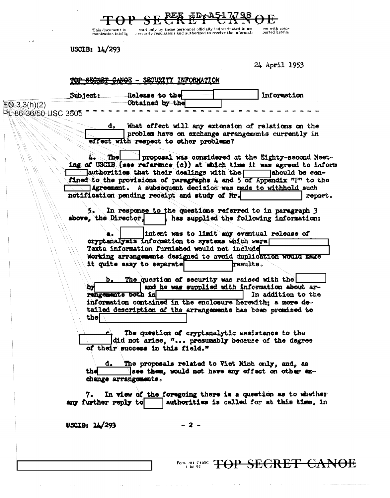This document is<br>munication intellig

read only by those personnel officially indoctrinated in act<br>security regulations and authorized to receive the informations

ee with com-<br>ported herein.

USCIB: 14/293

 $\hat{\mathcal{A}}$ 

 $\sim$   $\epsilon$ 

24 April 1953

 $\mathcal{L}(\mathcal{A})$  and  $\mathcal{L}(\mathcal{A})$  and  $\mathcal{L}(\mathcal{A})$ 

|                                          |                                                                                                                                                                                                                                                                                                                                                                                                                                                                                                       | TOP SECRET CANOE - SECURITY INFORMATION                                                                                                                                                                                                                                                  |                                                 |  |                                                                                                                                                                                                    |  |
|------------------------------------------|-------------------------------------------------------------------------------------------------------------------------------------------------------------------------------------------------------------------------------------------------------------------------------------------------------------------------------------------------------------------------------------------------------------------------------------------------------------------------------------------------------|------------------------------------------------------------------------------------------------------------------------------------------------------------------------------------------------------------------------------------------------------------------------------------------|-------------------------------------------------|--|----------------------------------------------------------------------------------------------------------------------------------------------------------------------------------------------------|--|
|                                          |                                                                                                                                                                                                                                                                                                                                                                                                                                                                                                       | Subject: Release to the<br>Obtained by the                                                                                                                                                                                                                                               |                                                 |  | Information                                                                                                                                                                                        |  |
| $EQ \ 3.3(h)(2)$<br>PL 86-36/50 USC 3605 |                                                                                                                                                                                                                                                                                                                                                                                                                                                                                                       |                                                                                                                                                                                                                                                                                          |                                                 |  |                                                                                                                                                                                                    |  |
|                                          | What effect will any extension of relations on the<br>d.<br>problem have on exchange arrangements currently in<br>effect with respect to other problems?<br>proposal was considered at the Eighty-second Meet-<br>Thel<br>ing of USCIB (see reference (c)) at which time it was agreed to inform<br>authorities that their dealings with the<br>Tahould be con-<br>fined to the provisions of paragraphs 4 and 5 of Appendix "P" to the<br>Agreement. A subsequent decision was made to withhold such |                                                                                                                                                                                                                                                                                          |                                                 |  |                                                                                                                                                                                                    |  |
|                                          | 5.                                                                                                                                                                                                                                                                                                                                                                                                                                                                                                    | notification pending receipt and study of Mr.<br>report.<br>In response to the questions referred to in paragraph 3<br>above, the Director.<br>has supplied the following information:<br>intent was to limit any eventual release of<br>cryptanalysis information to systems which were |                                                 |  |                                                                                                                                                                                                    |  |
|                                          | Texts information furnished would not include<br>Working arrangements designed to avoid duplication would make<br>it quite easy to separate<br>results.                                                                                                                                                                                                                                                                                                                                               |                                                                                                                                                                                                                                                                                          |                                                 |  |                                                                                                                                                                                                    |  |
|                                          | þу<br>the                                                                                                                                                                                                                                                                                                                                                                                                                                                                                             | rengements both in                                                                                                                                                                                                                                                                       | b. The question of security was raised with the |  | and he was supplied with information about ar-<br>In addition to the<br>information contained in the enclosure herewith; a more de-<br>tailed description of the arrangements has been promised to |  |
|                                          |                                                                                                                                                                                                                                                                                                                                                                                                                                                                                                       | The question of cryptanalytic assistance to the<br>did not arise, " presumably because of the degree<br>of their success in this field."                                                                                                                                                 |                                                 |  |                                                                                                                                                                                                    |  |
|                                          | The proposals related to Viet Minh only, and, as<br>d.<br>see them, would not have any effect on other ex-<br>the<br>change arrangements.                                                                                                                                                                                                                                                                                                                                                             |                                                                                                                                                                                                                                                                                          |                                                 |  |                                                                                                                                                                                                    |  |
|                                          | In view of the foregoing there is a question as to whether<br>7.<br>authorities is called for at this time, in<br>any further reply to                                                                                                                                                                                                                                                                                                                                                                |                                                                                                                                                                                                                                                                                          |                                                 |  |                                                                                                                                                                                                    |  |
|                                          | USCIB: 14/293                                                                                                                                                                                                                                                                                                                                                                                                                                                                                         |                                                                                                                                                                                                                                                                                          | - 2 -                                           |  |                                                                                                                                                                                                    |  |
|                                          |                                                                                                                                                                                                                                                                                                                                                                                                                                                                                                       |                                                                                                                                                                                                                                                                                          | Form 781-C10SC<br>$1$ Jul 52                    |  | <del>SECRET</del>                                                                                                                                                                                  |  |

 $\hat{L}_{\rm{max}}$  and  $\hat{L}_{\rm{max}}$  is a second constraint for a second constraint of

 $\langle\cdot,\cdot\rangle$ 

 $\Delta\omega$  , and  $\Delta\omega$  , and  $\Delta\omega$  , and  $\Delta\omega$  , and  $\Delta\omega$